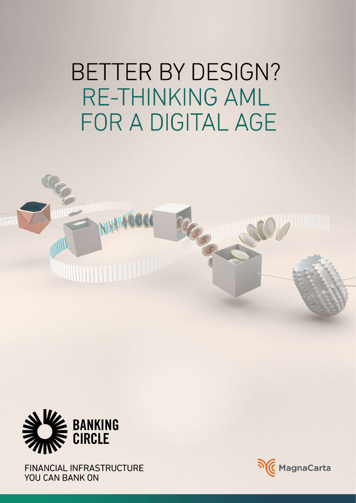**BETTER BY DESIGN? RE-THINKING AML** FOR A DIGITAL AGE



**FINANCIAL INFRASTRUCTURE** YOU CAN BANK ON

**SANATHAL SANATH REA** 

**WANDER OF THE AND ALL PROPERTY OF THE AND ALL PROPERTY OF THE AND ALL PROPERTY OF THE AND ALL PROPERTY OF THE** 

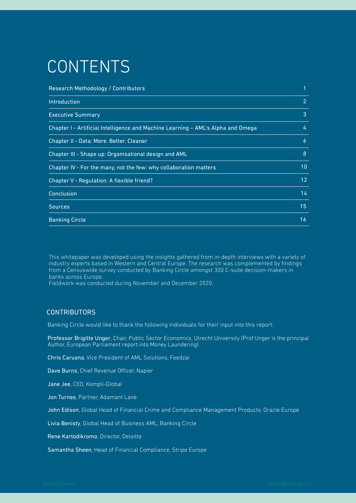# CONTENTS

| Research Methodology / Contributors                                              |                   |
|----------------------------------------------------------------------------------|-------------------|
| <b>Introduction</b>                                                              | $\overline{2}$    |
| <b>Executive Summary</b>                                                         | 3                 |
| Chapter I - Artificial Intelligence and Machine Learning - AML's Alpha and Omega | 4                 |
| <b>Chapter II - Data: More. Better. Cleaner</b>                                  | 6                 |
| Chapter III - Shape up: Organisational design and AML                            | 8                 |
| Chapter IV - For the many, not the few: why collaboration matters                | 10                |
| Chapter V - Regulation: A flexible friend?                                       | $12 \overline{ }$ |
| Conclusion                                                                       | 14                |
| <b>Sources</b>                                                                   | 15                |
| <b>Banking Circle</b>                                                            | 16                |

This whitepaper was developed using the insights gathered from in-depth interviews with a variety of industry experts based in Western and Central Europe. The research was complemented by findings from a Censuswide survey conducted by Banking Circle amongst 300 C-suite decision-makers in banks across Europe.

Fieldwork was conducted during November and December 2020.

### **CONTRIBUTORS**

Banking Circle would like to thank the following individuals for their input into this report:

Professor Brigitte Unger, Chair, Public Sector Economics, Utrecht University (Prof Unger is the principal Author, European Parliament report into Money Laundering)

Chris Caruana, Vice President of AML Solutions, Feedzai

Dave Burns, Chief Revenue Officer, Napier

Jane Jee, CEO, Kompli-Global

Jon Turnes, Partner, Adamant Lane

John Edison, Global Head of Financial Crime and Compliance Management Products, Oracle Europe

Livia Benisty, Global Head of Business AML, Banking Circle

Rene Kartodikromo, Director, Deloitte

Samantha Sheen, Head of Financial Compliance, Stripe Europe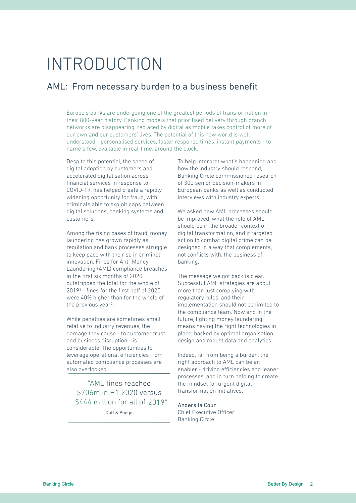# <span id="page-2-0"></span>INTRODUCTION

### AML: From necessary burden to a business benefit

Europe's banks are undergoing one of the greatest periods of transformation in their 800-year history. Banking models that prioritised delivery through branch networks are disappearing, replaced by digital as mobile takes control of more of our own and our customers' lives. The potential of this new world is well understood - personalised services, faster response times, instant payments - to name a few, available in real-time, around the clock.

Despite this potential, the speed of digital adoption by customers and accelerated digitalisation across financial services in response to COVID-19, has helped create a rapidly widening opportunity for fraud, with criminals able to exploit gaps between digital solutions, banking systems and customers.

Among the rising cases of fraud, money laundering has grown rapidly as regulation and bank processes struggle to keep pace with the rise in criminal innovation. Fines for Anti-Money Laundering (AML) compliance breaches in the first six months of 2020 outstripped the total for the whole of 20191 - fines for the first half of 2020 were 40% higher than for the whole of the previous year2.

While penalties are sometimes small relative to industry revenues, the damage they cause - to customer trust and business disruption - is considerable. The opportunities to leverage operational efficiencies from automated compliance processes are also overlooked.

"AML fines reached \$706m in H1 2020 versus \$444 million for all of 2019" Duff & Phelps

To help interpret what's happening and how the industry should respond, Banking Circle commissioned research of 300 senior decision-makers in European banks as well as conducted interviews with industry experts.

We asked how AML processes should be improved, what the role of AML should be in the broader context of digital transformation, and if targeted action to combat digital crime can be designed in a way that complements, not conflicts with, the business of banking.

The message we got back is clear. Successful AML strategies are about more than just complying with regulatory rules, and their implementation should not be limited to the compliance team. Now and in the future, fighting money laundering means having the right technologies in place, backed by optimal organisation design and robust data and analytics.

Indeed, far from being a burden, the right approach to AML can be an enabler - driving efficiencies and leaner processes, and in turn helping to create the mindset for urgent digital transformation initiatives.

Anders la Cour Chief Executive Officer Banking Circle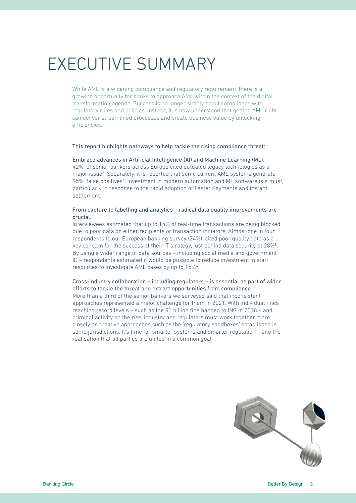# <span id="page-3-0"></span>EXECUTIVE SUMMARY

While AML is a widening compliance and regulatory requirement, there is a growing opportunity for banks to approach AML within the context of the digital transformation agenda. Success is no longer simply about compliance with regulatory rules and policies. Instead, it is now understood that getting AML right can deliver streamlined processes and create business value by unlocking efficiencies.

### This report highlights pathways to help tackle the rising compliance threat:

Embrace advances in Artificial Intelligence (AI) and Machine Learning (ML). 42% of senior bankers across Europe cited outdated legacy technologies as a major issue3. Separately, it is reported that some current AML systems generate 95% false positives<sup>4</sup>. Investment in modern automation and ML software is a must, particularly in response to the rapid adoption of Faster Payments and instant settlement.

### From capture to labelling and analytics – radical data quality improvements are crucial.

Interviewees estimated that up to 15% of real-time transactions are being blocked due to poor data on either recipients or transaction initiators. Almost one in four respondents to our European banking survey (24%) cited poor quality data as a key concern for the success of their IT strategy, just behind data security at 28%5. By using a wider range of data sources – including social media and government  $ID -$  respondents estimated it would be possible to reduce investment in staff resources to investigate AML cases by up to 15%6.

### Cross-industry collaboration – including regulators – is essential as part of wider efforts to tackle the threat and extract opportunities from compliance.

More than a third of the senior bankers we surveyed said that inconsistent approaches represented a major challenge for them in 2021. With individual fines reaching record levels – such as the \$1 billion fine handed to ING in 2018 – and criminal activity on the rise, industry and regulators must work together more closely on creative approaches such as the 'regulatory sandboxes' established in some jurisdictions. It's time for smarter systems and smarter regulation – and the realisation that all parties are united in a common goal.

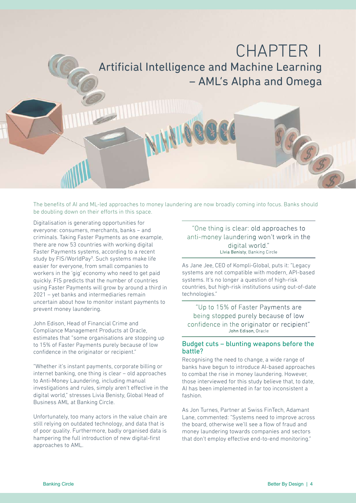### <span id="page-4-0"></span>CHAPTER I Artificial Intelligence and Machine Learning – AML's Alpha and Omega

The benefits of AI and ML-led approaches to money laundering are now broadly coming into focus. Banks should be doubling down on their efforts in this space.

Digitalisation is generating opportunities for everyone: consumers, merchants, banks – and criminals. Taking Faster Payments as one example, there are now 53 countries with working digital Faster Payments systems, according to a recent study by FIS/WorldPay7. Such systems make life easier for everyone, from small companies to workers in the 'gig' economy who need to get paid quickly. FIS predicts that the number of countries using Faster Payments will grow by around a third in 2021 – yet banks and intermediaries remain uncertain about how to monitor instant payments to prevent money laundering.

John Edison, Head of Financial Crime and Compliance Management Products at Oracle, estimates that "some organisations are stopping up to 15% of Faster Payments purely because of low confidence in the originator or recipient."

"Whether it's instant payments, corporate billing or internet banking, one thing is clear – old approaches to Anti-Money Laundering, including manual investigations and rules, simply aren't effective in the digital world," stresses Livia Benisty, Global Head of Business AML at Banking Circle.

Unfortunately, too many actors in the value chain are still relying on outdated technology, and data that is of poor quality. Furthermore, badly organised data is hampering the full introduction of new digital-first approaches to AML.

"One thing is clear: old approaches to anti-money laundering won't work in the digital world." Livia Benisty, Banking Circle

As Jane Jee, CEO of Kompli-Global, puts it: "Legacy systems are not compatible with modern, API-based systems. It's no longer a question of high-risk countries, but high-risk institutions using out-of-date technologies."

"Up to 15% of Faster Payments are being stopped purely because of low confidence in the originator or recipient" John Edison, Oracle

### Budget cuts – blunting weapons before the battle?

Recognising the need to change, a wide range of banks have begun to introduce AI-based approaches to combat the rise in money laundering. However, those interviewed for this study believe that, to date, AI has been implemented in far too inconsistent a fashion.

As Jon Turnes, Partner at Swiss FinTech, Adamant Lane, commented: "Systems need to improve across the board, otherwise we'll see a flow of fraud and money laundering towards companies and sectors that don't employ effective end-to-end monitoring."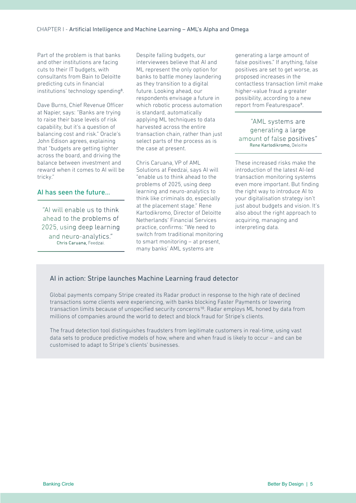Part of the problem is that banks and other institutions are facing cuts to their IT budgets, with consultants from Bain to Deloitte predicting cuts in financial institutions' technology spending8.

Dave Burns, Chief Revenue Officer at Napier, says: "Banks are trying to raise their base levels of risk capability, but it's a question of balancing cost and risk." Oracle's John Edison agrees, explaining that "budgets are getting tighter across the board, and driving the balance between investment and reward when it comes to AI will be tricky."

### AI has seen the future…

"Al will enable us to think ahead to the problems of 2025, using deep learning and neuro-analytics." Chris Caruana, Feedzai.

Despite falling budgets, our interviewees believe that AI and ML represent the only option for banks to battle money laundering as they transition to a digital future. Looking ahead, our respondents envisage a future in which robotic process automation is standard, automatically applying ML techniques to data harvested across the entire transaction chain, rather than just select parts of the process as is the case at present.

Chris Caruana, VP of AML Solutions at Feedzai, says AI will "enable us to think ahead to the problems of 2025, using deep learning and neuro-analytics to think like criminals do, especially at the placement stage." Rene Kartodikromo, Director of Deloitte Netherlands' Financial Services practice, confirms: "We need to switch from traditional monitoring to smart monitoring – at present, many banks' AML systems are

generating a large amount of false positives." If anything, false positives are set to get worse, as proposed increases in the contactless transaction limit make higher-value fraud a greater possibility, according to a new report from Featurespace9.

"AML systems are generating a large amount of false positives" Rene Kartodikromo, Deloitte

These increased risks make the introduction of the latest AI-led transaction monitoring systems even more important. But finding the right way to introduce AI to your digitalisation strategy isn't just about budgets and vision. It's also about the right approach to acquiring, managing and interpreting data.

### AI in action: Stripe launches Machine Learning fraud detector

Global payments company Stripe created its Radar product in response to the high rate of declined transactions some clients were experiencing, with banks blocking Faster Payments or lowering transaction limits because of unspecified security concerns<sup>10</sup>. Radar employs ML honed by data from millions of companies around the world to detect and block fraud for Stripe's clients.

The fraud detection tool distinguishes fraudsters from legitimate customers in real-time, using vast data sets to produce predictive models of how, where and when fraud is likely to occur – and can be customised to adapt to Stripe's clients' businesses.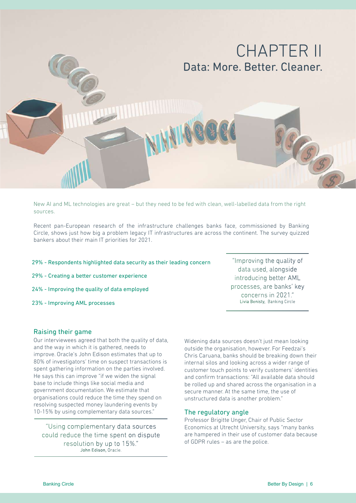<span id="page-6-0"></span>

New AI and ML technologies are great – but they need to be fed with clean, well-labelled data from the right sources.

Recent pan-European research of the infrastructure challenges banks face, commissioned by Banking Circle, shows just how big a problem legacy IT infrastructures are across the continent. The survey quizzed bankers about their main IT priorities for 2021.

### 29% - Respondents highlighted data security as their leading concern

- 29% Creating a better customer experience
- 24% Improving the quality of data employed
- 23% Improving AML processes

"Improving the quality of data used, alongside introducing better AML processes, are banks' key concerns in 2021." Livia Benisty, Banking Circle

### Raising their game

Our interviewees agreed that both the quality of data, and the way in which it is gathered, needs to improve. Oracle's John Edison estimates that up to 80% of investigators' time on suspect transactions is spent gathering information on the parties involved. He says this can improve "if we widen the signal base to include things like social media and government documentation. We estimate that organisations could reduce the time they spend on resolving suspected money laundering events by 10-15% by using complementary data sources."

"Using complementary data sources could reduce the time spent on dispute resolution by up to 15%." John Edison, Oracle.

Widening data sources doesn't just mean looking outside the organisation, however. For Feedzai's Chris Caruana, banks should be breaking down their internal silos and looking across a wider range of customer touch points to verify customers' identities and confirm transactions: "All available data should be rolled up and shared across the organisation in a secure manner. At the same time, the use of unstructured data is another problem."

### The regulatory angle

Professor Brigitte Unger, Chair of Public Sector Economics at Utrecht University, says "many banks are hampered in their use of customer data because of GDPR rules – as are the police.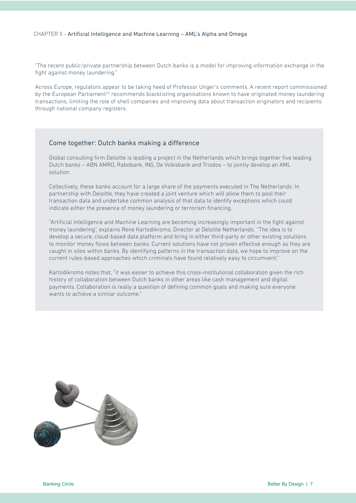"The recent public/private partnership between Dutch banks is a model for improving information exchange in the fight against money laundering."

Across Europe, regulators appear to be taking heed of Professor Unger's comments. A recent report commissioned by the European Parliament<sup>11</sup> recommends blacklisting organisations known to have originated money laundering transactions, limiting the role of shell companies and improving data about transaction originators and recipients through national company registers.

### Come together: Dutch banks making a difference

Global consulting firm Deloitte is leading a project in the Netherlands which brings together five leading Dutch banks – ABN AMRO, Rabobank, ING, De Volksbank and Triodos – to jointly develop an AML solution.

Collectively, these banks account for a large share of the payments executed in The Netherlands. In partnership with Deloitte, they have created a joint venture which will allow them to pool their transaction data and undertake common analysis of that data to identify exceptions which could indicate either the presence of money laundering or terrorism financing.

"Artificial Intelligence and Machine Learning are becoming increasingly important in the fight against money laundering", explains Rene Kartodikromo, Director at Deloitte Netherlands. "The idea is to develop a secure, cloud-based data platform and bring in either third-party or other existing solutions to monitor money flows between banks. Current solutions have not proven effective enough as they are caught in silos within banks. By identifying patterns in the transaction data, we hope to improve on the current rules-based approaches which criminals have found relatively easy to circumvent."

Kartodikromo notes that, "it was easier to achieve this cross-institutional collaboration given the rich history of collaboration between Dutch banks in other areas like cash management and digital payments. Collaboration is really a question of defining common goals and making sure everyone wants to achieve a similar outcome."

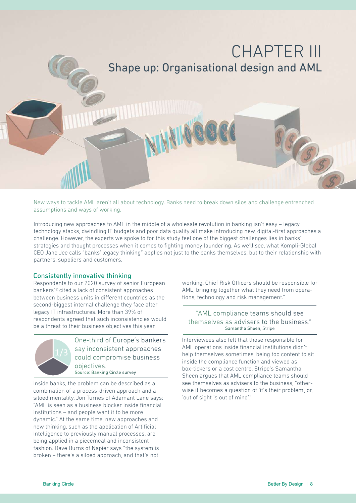<span id="page-8-0"></span>

New ways to tackle AML aren't all about technology. Banks need to break down silos and challenge entrenched assumptions and ways of working.

Introducing new approaches to AML in the middle of a wholesale revolution in banking isn't easy – legacy technology stacks, dwindling IT budgets and poor data quality all make introducing new, digital-first approaches a challenge. However, the experts we spoke to for this study feel one of the biggest challenges lies in banks' strategies and thought processes when it comes to fighting money laundering. As we'll see, what Kompli-Global CEO Jane Jee calls "banks' legacy thinking" applies not just to the banks themselves, but to their relationship with partners, suppliers and customers.

### Consistently innovative thinking

Respondents to our 2020 survey of senior European bankers12 cited a lack of consistent approaches between business units in different countries as the second-biggest internal challenge they face after legacy IT infrastructures. More than 39% of respondents agreed that such inconsistencies would be a threat to their business objectives this year.



One-third of Europe's bankers say inconsistent approaches could compromise business objectives Source: Banking Circle survey

Inside banks, the problem can be described as a combination of a process-driven approach and a siloed mentality. Jon Turnes of Adamant Lane says: "AML is seen as a business blocker inside financial institutions – and people want it to be more dynamic." At the same time, new approaches and new thinking, such as the application of Artificial Intelligence to previously manual processes, are being applied in a piecemeal and inconsistent fashion. Dave Burns of Napier says "the system is broken – there's a siloed approach, and that's not

working. Chief Risk Officers should be responsible for AML, bringing together what they need from operations, technology and risk management."

"AML compliance teams should see themselves as advisers to the business." Samantha Sheen, Stripe

Interviewees also felt that those responsible for AML operations inside financial institutions didn't help themselves sometimes, being too content to sit inside the compliance function and viewed as box-tickers or a cost centre. Stripe's Samantha Sheen argues that AML compliance teams should see themselves as advisers to the business, "otherwise it becomes a question of 'it's their problem', or, 'out of sight is out of mind'."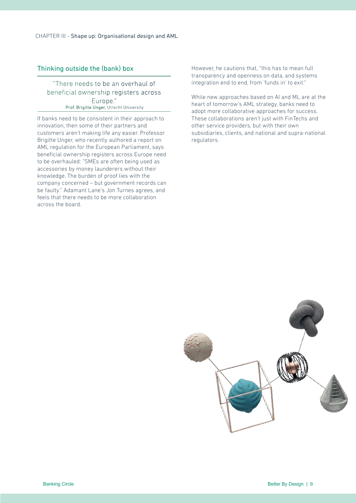### Thinking outside the (bank) box

"There needs to be an overhaul of beneficial ownership registers across Europe." Prof. Brigitte Unger, Utrecht University

If banks need to be consistent in their approach to innovation, then some of their partners and customers aren't making life any easier. Professor Brigitte Unger, who recently authored a report on AML regulation for the European Parliament, says beneficial ownership registers across Europe need to be overhauled: "SMEs are often being used as accessories by money launderers without their knowledge. The burden of proof lies with the company concerned – but government records can be faulty." Adamant Lane's Jon Turnes agrees, and feels that there needs to be more collaboration across the board.

However, he cautions that, "this has to mean full transparency and openness on data, and systems integration end to end, from 'funds in' to exit."

While new approaches based on AI and ML are at the heart of tomorrow's AML strategy, banks need to adopt more collaborative approaches for success. These collaborations aren't just with FinTechs and other service providers, but with their own subsidiaries, clients, and national and supra-national regulators.

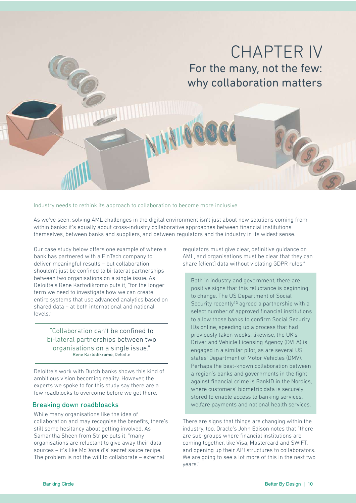## <span id="page-10-0"></span>CHAPTER IV For the many, not the few: why collaboration matters

Industry needs to rethink its approach to collaboration to become more inclusive

As we've seen, solving AML challenges in the digital environment isn't just about new solutions coming from within banks: it's equally about cross-industry collaborative approaches between financial institutions themselves, between banks and suppliers, and between regulators and the industry in its widest sense.

Our case study below offers one example of where a bank has partnered with a FinTech company to deliver meaningful results – but collaboration shouldn't just be confined to bi-lateral partnerships between two organisations on a single issue. As Deloitte's Rene Kartodikromo puts it, "for the longer term we need to investigate how we can create entire systems that use advanced analytics based on shared data – at both international and national levels."

"Collaboration can't be confined to bi-lateral partnerships between two organisations on a single issue." Rene Kartodikromo, Deloitte

Deloitte's work with Dutch banks shows this kind of ambitious vision becoming reality. However, the experts we spoke to for this study say there are a few roadblocks to overcome before we get there.

While many organisations like the idea of collaboration and may recognise the benefits, there's still some hesitancy about getting involved. As Samantha Sheen from Stripe puts it, "many organisations are reluctant to give away their data sources – it's like McDonald's' secret sauce recipe. The problem is not the will to collaborate – external

regulators must give clear, definitive guidance on AML, and organisations must be clear that they can share [client] data without violating GDPR rules."

Both in industry and government, there are positive signs that this reluctance is beginning to change. The US Department of Social Security recently<sup>13</sup> agreed a partnership with a select number of approved financial institutions to allow those banks to confirm Social Security IDs online, speeding up a process that had previously taken weeks; likewise, the UK's Driver and Vehicle Licensing Agency (DVLA) is engaged in a similar pilot, as are several US states' Department of Motor Vehicles (DMV). Perhaps the best-known collaboration between a region's banks and governments in the fight against financial crime is BankID in the Nordics, where customers' biometric data is securely stored to enable access to banking services, Breaking down roadbloacks and metallic welfare payments and national health services.

> There are signs that things are changing within the industry, too. Oracle's John Edison notes that "there are sub-groups where financial institutions are coming together, like Visa, Mastercard and SWIFT, and opening up their API structures to collaborators. We are going to see a lot more of this in the next two years."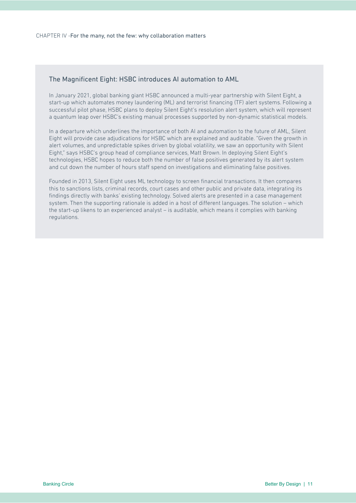### The Magnificent Eight: HSBC introduces AI automation to AML

In January 2021, global banking giant HSBC announced a multi-year partnership with Silent Eight, a start-up which automates money laundering (ML) and terrorist financing (TF) alert systems. Following a successful pilot phase, HSBC plans to deploy Silent Eight's resolution alert system, which will represent a quantum leap over HSBC's existing manual processes supported by non-dynamic statistical models.

In a departure which underlines the importance of both AI and automation to the future of AML, Silent Eight will provide case adjudications for HSBC which are explained and auditable. "Given the growth in alert volumes, and unpredictable spikes driven by global volatility, we saw an opportunity with Silent Eight," says HSBC's group head of compliance services, Matt Brown. In deploying Silent Eight's technologies, HSBC hopes to reduce both the number of false positives generated by its alert system and cut down the number of hours staff spend on investigations and eliminating false positives.

Founded in 2013, Silent Eight uses ML technology to screen financial transactions. It then compares this to sanctions lists, criminal records, court cases and other public and private data, integrating its findings directly with banks' existing technology. Solved alerts are presented in a case management system. Then the supporting rationale is added in a host of different languages. The solution – which the start-up likens to an experienced analyst – is auditable, which means it complies with banking regulations.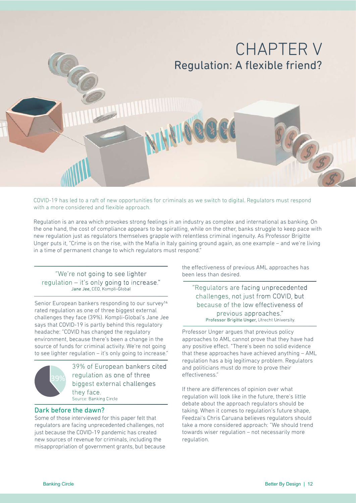<span id="page-12-0"></span>

COVID-19 has led to a raft of new opportunities for criminals as we switch to digital. Regulators must respond with a more considered and flexible approach.

Regulation is an area which provokes strong feelings in an industry as complex and international as banking. On the one hand, the cost of compliance appears to be spiralling, while on the other, banks struggle to keep pace with new regulation just as regulators themselves grapple with relentless criminal ingenuity. As Professor Brigitte Unger puts it, "Crime is on the rise, with the Mafia in Italy gaining ground again, as one example – and we're living in a time of permanent change to which regulators must respond."

"We're not going to see lighter regulation – it's only going to increase." Jane Jee, CEO, Kompli-Global

Senior European bankers responding to our survey<sup>14</sup> rated regulation as one of three biggest external challenges they face (39%). Kompli-Global's Jane Jee says that COVID-19 is partly behind this regulatory headache: "COVID has changed the regulatory environment, because there's been a change in the source of funds for criminal activity. We're not going to see lighter regulation – it's only going to increase."



39% of European bankers cited regulation as one of three biggest external challenges they face. Source: Banking Circle

### Dark before the dawn?

Some of those interviewed for this paper felt that regulators are facing unprecedented challenges, not just because the COVID-19 pandemic has created new sources of revenue for criminals, including the misappropriation of government grants, but because the effectiveness of previous AML approaches has been less than desired.

"Regulators are facing unprecedented challenges, not just from COVID, but because of the low effectiveness of previous approaches." Professor Brigitte Unger, Utrecht University.

Professor Unger argues that previous policy approaches to AML cannot prove that they have had any positive effect. "There's been no solid evidence that these approaches have achieved anything – AML regulation has a big legitimacy problem. Regulators and politicians must do more to prove their effectiveness."

If there are differences of opinion over what regulation will look like in the future, there's little debate about the approach regulators should be taking. When it comes to regulation's future shape, Feedzai's Chris Caruana believes regulators should take a more considered approach: "We should trend towards wiser regulation – not necessarily more regulation.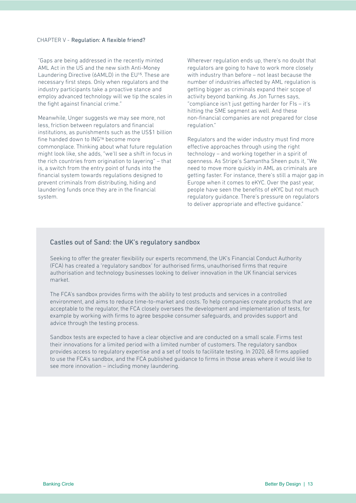### CHAPTER V - Regulation: A flexible friend?

"Gaps are being addressed in the recently minted AML Act in the US and the new sixth Anti-Money Laundering Directive (6AMLD) in the EU<sup>15</sup>. These are necessary first steps. Only when regulators and the industry participants take a proactive stance and employ advanced technology will we tip the scales in the fight against financial crime."

Meanwhile, Unger suggests we may see more, not less, friction between regulators and financial institutions, as punishments such as the US\$1 billion fine handed down to ING<sup>16</sup> become more commonplace. Thinking about what future regulation might look like, she adds, "we'll see a shift in focus in the rich countries from origination to layering" – that is, a switch from the entry point of funds into the financial system towards regulations designed to prevent criminals from distributing, hiding and laundering funds once they are in the financial system.

Wherever regulation ends up, there's no doubt that regulators are going to have to work more closely with industry than before – not least because the number of industries affected by AML regulation is getting bigger as criminals expand their scope of activity beyond banking. As Jon Turnes says, "compliance isn't just getting harder for FIs – it's hitting the SME segment as well. And these non-financial companies are not prepared for close regulation."

Regulators and the wider industry must find more effective approaches through using the right technology – and working together in a spirit of openness. As Stripe's Samantha Sheen puts it, "We need to move more quickly in AML as criminals are getting faster. For instance, there's still a major gap in Europe when it comes to eKYC. Over the past year, people have seen the benefits of eKYC but not much regulatory guidance. There's pressure on regulators to deliver appropriate and effective guidance."

### Castles out of Sand: the UK's regulatory sandbox

Seeking to offer the greater flexibility our experts recommend, the UK's Financial Conduct Authority (FCA) has created a 'regulatory sandbox' for authorised firms, unauthorised firms that require authorisation and technology businesses looking to deliver innovation in the UK financial services market.

The FCA's sandbox provides firms with the ability to test products and services in a controlled environment, and aims to reduce time-to-market and costs. To help companies create products that are acceptable to the regulator, the FCA closely oversees the development and implementation of tests, for example by working with firms to agree bespoke consumer safeguards, and provides support and advice through the testing process.

Sandbox tests are expected to have a clear objective and are conducted on a small scale. Firms test their innovations for a limited period with a limited number of customers. The regulatory sandbox provides access to regulatory expertise and a set of tools to facilitate testing. In 2020, 68 firms applied to use the FCA's sandbox, and the FCA published guidance to firms in those areas where it would like to see more innovation – including money laundering.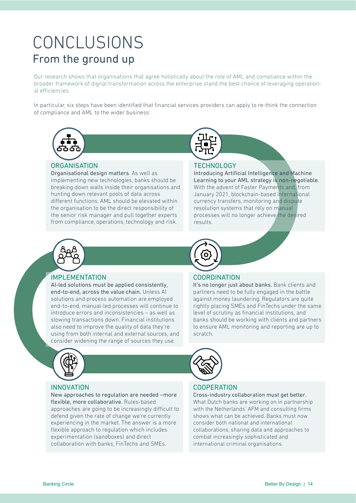# <span id="page-14-0"></span>CONCLUSIONS From the ground up

Our research shows that organisations that agree holistically about the role of AML and compliance within the broader framework of digital transformation across the enterprise stand the best chance of leveraging operational efficiencies

In particular, six steps have been identified that financial services providers can apply to re-think the connection of compliance and AML to the wider business:



### **ORGANISATION**

Organisational design matters. As well as implementing new technologies, banks should be breaking down walls inside their organisations and hunting down relevant pools of data across different functions. AML should be elevated within the organisation to be the direct responsibility of the senior risk manager and pull together experts from compliance, operations, technology and risk.

### **TECHNOLOGY**

Introducing Artificial Intelligence and Machine Learning to your AML strategy is non-negotiable. With the advent of Faster Payments and, from January 2021, blockchain-based international currency transfers, monitoring and dispute resolution systems that rely on manual processes will no longer achieve the desired results.

It's no longer just about banks. Bank clients and partners need to be fully engaged in the battle against money laundering. Regulators are quite rightly placing SMEs and FinTechs under the same level of scrutiny as financial institutions, and banks should be working with clients and partners to ensure AML monitoring and reporting are up to



### IMPLEMENTATION

AI-led solutions must be applied consistently, end-to-end, across the value chain. Unless AI solutions and process automation are employed end-to-end, manual-led processes will continue to introduce errors and inconsistencies – as well as slowing transactions down. Financial institutions also need to improve the quality of data they're using from both internal and external sources, and consider widening the range of sources they use.



### INNOVATION

New approaches to regulation are needed –more flexible, more collaborative. Rules-based approaches are going to be increasingly difficult to defend given the rate of change we're currently experiencing in the market. The answer is a more flexible approach to regulation which includes experimentation (sandboxes) and direct collaboration with banks, FinTechs and SMEs.



scratch.

### **COOPERATION**

**COORDINATION** 

Cross-industry collaboration must get better. What Dutch banks are working on in partnership with the Netherlands' AFM and consulting firms shows what can be achieved. Banks must now consider both national and international collaborations, sharing data and approaches to combat increasingly sophisticated and international criminal organisations.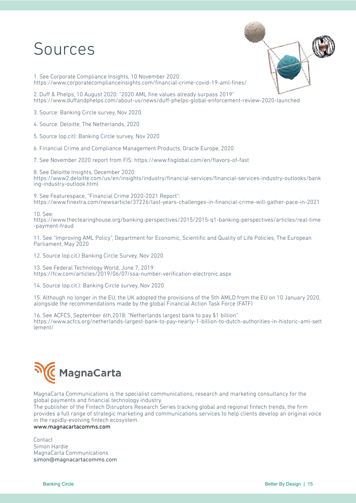# <span id="page-15-0"></span>Sources

1. See Corporate Compliance Insights, 10 November 2020: https://www.corporatecomplianceinsights.com/financial-crime-covid-19-aml-fines/

2. Duff & Phelps, 10 August 2020: "2020 AML fine values already surpass 2019" https://www.duffandphelps.com/about-us/news/duff-phelps-global-enforcement-review-2020-launched

3. Source: Banking Circle survey, Nov 2020

4. Source: Deloitte, The Netherlands, 2020

5. Source (op.cit): Banking Circle survey, Nov 2020

6. Financial Crime and Compliance Management Products, Oracle Europe, 2020

7. See November 2020 report from FIS: https://www.fisglobal.com/en/flavors-of-fast

8. See Deloitte Insights, December 2020: https://www2.deloitte.com/us/en/insights/industry/financial-services/financial-services-industry-outlooks/bank ing-industry-outlook.html

9. See Featurespace, "Financial Crime 2020-2021 Report": https://www.finextra.com/newsarticle/37226/last-years-challenges-in-financial-crime-will-gather-pace-in-2021

### 10. See:

https://www.theclearinghouse.org/banking-perspectives/2015/2015-q1-banking-perspectives/articles/real-time -payment-fraud

11. See "Improving AML Policy", Department for Economic, Scientific and Quality of Life Policies, The European Parliament, May 2020

12. Source (op.cit.) Banking Circle Survey, Nov 2020

13. See Federal Technology World, June 7, 2019: https://fcw.com/articles/2019/06/07/ssa-number-verification-electronic.aspx

14. Source (op.cit.): Banking Circle survey, Nov 2020

15. Although no longer in the EU, the UK adopted the provisions of the 5th AMLD from the EU on 10 January 2020, alongside the recommendations made by the global Financial Action Task Force (FATF)

16. See ACFCS, September 6th,2018: "Netherlands largest bank to pay \$1 billion" https://www.acfcs.org/netherlands-largest-bank-to-pay-nearly-1-billion-to-dutch-authorities-in-historic-aml-sett lement/



MagnaCarta Communications is the specialist communications, research and marketing consultancy for the global payments and financial technology industry.

The publisher of the Fintech Disruptors Research Series tracking global and regional fintech trends, the firm provides a full range of strategic marketing and communications services to help clients develop an original voice in the rapidly-evolving fintech ecosystem.

### www.magnacartacomms.com

Contact Simon Hardie MagnaCarta Communications simon@magnacartacomms.com